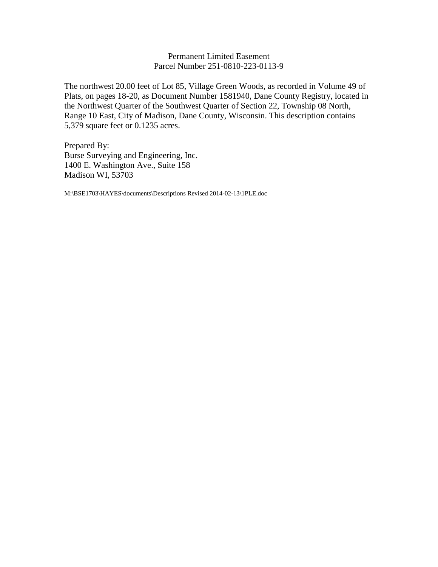# Permanent Limited Easement Parcel Number 251-0810-223-0113-9

The northwest 20.00 feet of Lot 85, Village Green Woods, as recorded in Volume 49 of Plats, on pages 18-20, as Document Number 1581940, Dane County Registry, located in the Northwest Quarter of the Southwest Quarter of Section 22, Township 08 North, Range 10 East, City of Madison, Dane County, Wisconsin. This description contains 5,379 square feet or 0.1235 acres.

Prepared By: Burse Surveying and Engineering, Inc. 1400 E. Washington Ave., Suite 158 Madison WI, 53703

M:\BSE1703\HAYES\documents\Descriptions Revised 2014-02-13\1PLE.doc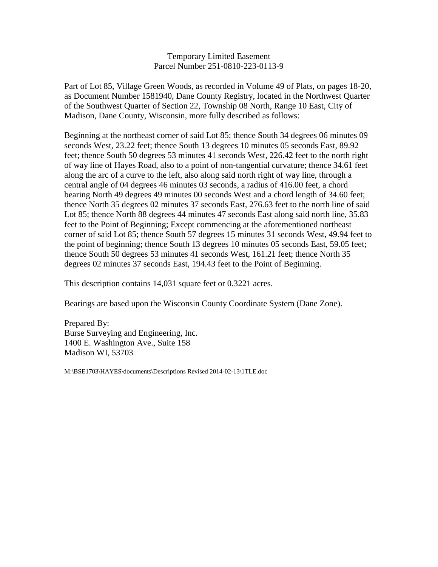## Temporary Limited Easement Parcel Number 251-0810-223-0113-9

Part of Lot 85, Village Green Woods, as recorded in Volume 49 of Plats, on pages 18-20, as Document Number 1581940, Dane County Registry, located in the Northwest Quarter of the Southwest Quarter of Section 22, Township 08 North, Range 10 East, City of Madison, Dane County, Wisconsin, more fully described as follows:

Beginning at the northeast corner of said Lot 85; thence South 34 degrees 06 minutes 09 seconds West, 23.22 feet; thence South 13 degrees 10 minutes 05 seconds East, 89.92 feet; thence South 50 degrees 53 minutes 41 seconds West, 226.42 feet to the north right of way line of Hayes Road, also to a point of non-tangential curvature; thence 34.61 feet along the arc of a curve to the left, also along said north right of way line, through a central angle of 04 degrees 46 minutes 03 seconds, a radius of 416.00 feet, a chord bearing North 49 degrees 49 minutes 00 seconds West and a chord length of 34.60 feet; thence North 35 degrees 02 minutes 37 seconds East, 276.63 feet to the north line of said Lot 85; thence North 88 degrees 44 minutes 47 seconds East along said north line, 35.83 feet to the Point of Beginning; Except commencing at the aforementioned northeast corner of said Lot 85; thence South 57 degrees 15 minutes 31 seconds West, 49.94 feet to the point of beginning; thence South 13 degrees 10 minutes 05 seconds East, 59.05 feet; thence South 50 degrees 53 minutes 41 seconds West, 161.21 feet; thence North 35 degrees 02 minutes 37 seconds East, 194.43 feet to the Point of Beginning.

This description contains 14,031 square feet or 0.3221 acres.

Bearings are based upon the Wisconsin County Coordinate System (Dane Zone).

Prepared By: Burse Surveying and Engineering, Inc. 1400 E. Washington Ave., Suite 158 Madison WI, 53703

M:\BSE1703\HAYES\documents\Descriptions Revised 2014-02-13\1TLE.doc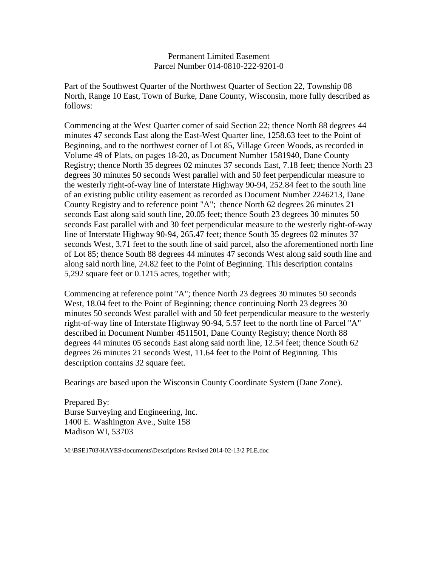### Permanent Limited Easement Parcel Number 014-0810-222-9201-0

Part of the Southwest Quarter of the Northwest Quarter of Section 22, Township 08 North, Range 10 East, Town of Burke, Dane County, Wisconsin, more fully described as follows:

Commencing at the West Quarter corner of said Section 22; thence North 88 degrees 44 minutes 47 seconds East along the East-West Quarter line, 1258.63 feet to the Point of Beginning, and to the northwest corner of Lot 85, Village Green Woods, as recorded in Volume 49 of Plats, on pages 18-20, as Document Number 1581940, Dane County Registry; thence North 35 degrees 02 minutes 37 seconds East, 7.18 feet; thence North 23 degrees 30 minutes 50 seconds West parallel with and 50 feet perpendicular measure to the westerly right-of-way line of Interstate Highway 90-94, 252.84 feet to the south line of an existing public utility easement as recorded as Document Number 2246213, Dane County Registry and to reference point "A"; thence North 62 degrees 26 minutes 21 seconds East along said south line, 20.05 feet; thence South 23 degrees 30 minutes 50 seconds East parallel with and 30 feet perpendicular measure to the westerly right-of-way line of Interstate Highway 90-94, 265.47 feet; thence South 35 degrees 02 minutes 37 seconds West, 3.71 feet to the south line of said parcel, also the aforementioned north line of Lot 85; thence South 88 degrees 44 minutes 47 seconds West along said south line and along said north line, 24.82 feet to the Point of Beginning. This description contains 5,292 square feet or 0.1215 acres, together with;

Commencing at reference point "A"; thence North 23 degrees 30 minutes 50 seconds West, 18.04 feet to the Point of Beginning; thence continuing North 23 degrees 30 minutes 50 seconds West parallel with and 50 feet perpendicular measure to the westerly right-of-way line of Interstate Highway 90-94, 5.57 feet to the north line of Parcel "A" described in Document Number 4511501, Dane County Registry; thence North 88 degrees 44 minutes 05 seconds East along said north line, 12.54 feet; thence South 62 degrees 26 minutes 21 seconds West, 11.64 feet to the Point of Beginning. This description contains 32 square feet.

Bearings are based upon the Wisconsin County Coordinate System (Dane Zone).

Prepared By: Burse Surveying and Engineering, Inc. 1400 E. Washington Ave., Suite 158 Madison WI, 53703

M:\BSE1703\HAYES\documents\Descriptions Revised 2014-02-13\2 PLE.doc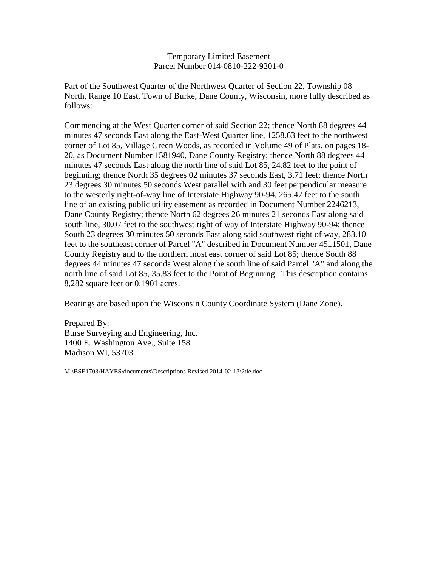## Temporary Limited Easement Parcel Number 014-0810-222-9201-0

Part of the Southwest Quarter of the Northwest Quarter of Section 22, Township 08 North, Range 10 East, Town of Burke, Dane County, Wisconsin, more fully described as follows:

Commencing at the West Quarter corner of said Section 22; thence North 88 degrees 44 minutes 47 seconds East along the East-West Quarter line, 1258.63 feet to the northwest corner of Lot 85, Village Green Woods, as recorded in Volume 49 of Plats, on pages 18- 20, as Document Number 1581940, Dane County Registry; thence North 88 degrees 44 minutes 47 seconds East along the north line of said Lot 85, 24.82 feet to the point of beginning; thence North 35 degrees 02 minutes 37 seconds East, 3.71 feet; thence North 23 degrees 30 minutes 50 seconds West parallel with and 30 feet perpendicular measure to the westerly right-of-way line of Interstate Highway 90-94, 265.47 feet to the south line of an existing public utility easement as recorded in Document Number 2246213, Dane County Registry; thence North 62 degrees 26 minutes 21 seconds East along said south line, 30.07 feet to the southwest right of way of Interstate Highway 90-94; thence South 23 degrees 30 minutes 50 seconds East along said southwest right of way, 283.10 feet to the southeast corner of Parcel "A" described in Document Number 4511501, Dane County Registry and to the northern most east corner of said Lot 85; thence South 88 degrees 44 minutes 47 seconds West along the south line of said Parcel "A" and along the north line of said Lot 85, 35.83 feet to the Point of Beginning. This description contains 8,282 square feet or 0.1901 acres.

Bearings are based upon the Wisconsin County Coordinate System (Dane Zone).

Prepared By: Burse Surveying and Engineering, Inc. 1400 E. Washington Ave., Suite 158 Madison WI, 53703

M:\BSE1703\HAYES\documents\Descriptions Revised 2014-02-13\2tle.doc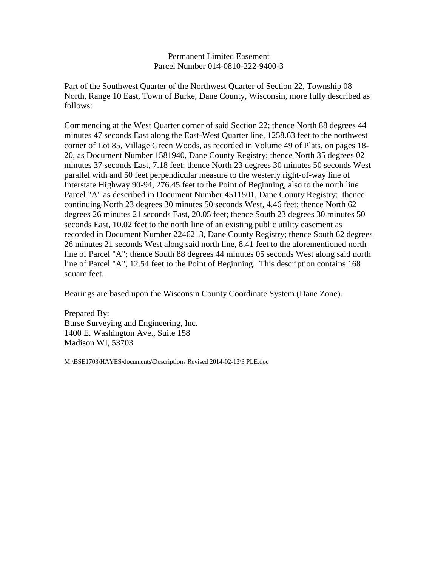### Permanent Limited Easement Parcel Number 014-0810-222-9400-3

Part of the Southwest Quarter of the Northwest Quarter of Section 22, Township 08 North, Range 10 East, Town of Burke, Dane County, Wisconsin, more fully described as follows:

Commencing at the West Quarter corner of said Section 22; thence North 88 degrees 44 minutes 47 seconds East along the East-West Quarter line, 1258.63 feet to the northwest corner of Lot 85, Village Green Woods, as recorded in Volume 49 of Plats, on pages 18- 20, as Document Number 1581940, Dane County Registry; thence North 35 degrees 02 minutes 37 seconds East, 7.18 feet; thence North 23 degrees 30 minutes 50 seconds West parallel with and 50 feet perpendicular measure to the westerly right-of-way line of Interstate Highway 90-94, 276.45 feet to the Point of Beginning, also to the north line Parcel "A" as described in Document Number 4511501, Dane County Registry; thence continuing North 23 degrees 30 minutes 50 seconds West, 4.46 feet; thence North 62 degrees 26 minutes 21 seconds East, 20.05 feet; thence South 23 degrees 30 minutes 50 seconds East, 10.02 feet to the north line of an existing public utility easement as recorded in Document Number 2246213, Dane County Registry; thence South 62 degrees 26 minutes 21 seconds West along said north line, 8.41 feet to the aforementioned north line of Parcel "A"; thence South 88 degrees 44 minutes 05 seconds West along said north line of Parcel "A", 12.54 feet to the Point of Beginning. This description contains 168 square feet.

Bearings are based upon the Wisconsin County Coordinate System (Dane Zone).

Prepared By: Burse Surveying and Engineering, Inc. 1400 E. Washington Ave., Suite 158 Madison WI, 53703

M:\BSE1703\HAYES\documents\Descriptions Revised 2014-02-13\3 PLE.doc